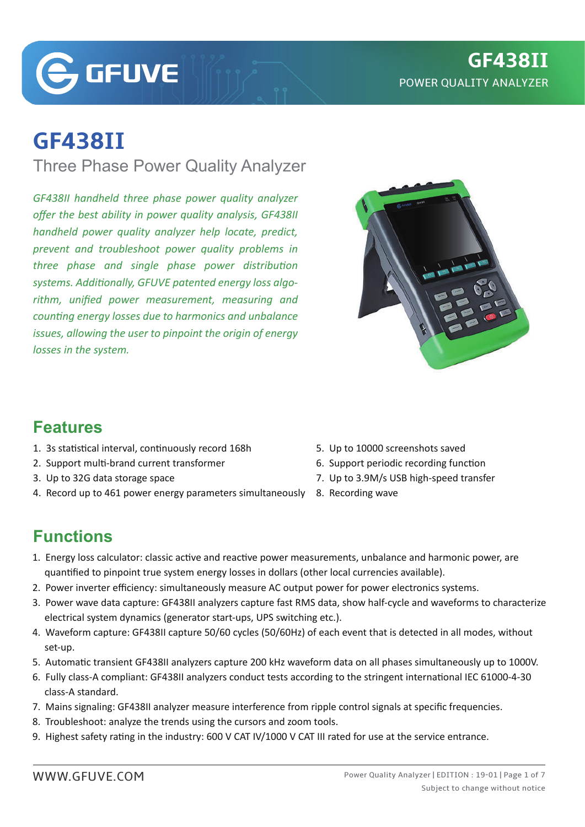**G**GFUVE

# **GF438II**

Three Phase Power Quality Analyzer

*GF438II handheld three phase power quality analyzer offer the best ability in power quality analysis, GF438II handheld power quality analyzer help locate, predict, prevent and troubleshoot power quality problems in three phase and single phase power distribution systems. Additionally, GFUVE patented energy loss algorithm, unified power measurement, measuring and counting energy losses due to harmonics and unbalance issues, allowing the user to pinpoint the origin of energy losses in the system.*



#### **Features**

- 1. 3s statistical interval, continuously record 168h
- 2. Support multi-brand current transformer
- 3. Up to 32G data storage space
- 4. Record up to 461 power energy parameters simultaneously 8. Recording wave
- 5. Up to 10000 screenshots saved
- 6. Support periodic recording function
- 7. Up to 3.9M/s USB high-speed transfer
- 

# **Functions**

- 1. Energy loss calculator: classic active and reactive power measurements, unbalance and harmonic power, are quan�fied to pinpoint true system energy losses in dollars (other local currencies available).
- 2. Power inverter efficiency: simultaneously measure AC output power for power electronics systems.
- 3. Power wave data capture: GF438II analyzers capture fast RMS data, show half-cycle and waveforms to characterize electrical system dynamics (generator start-ups, UPS switching etc.).
- 4. Waveform capture: GF438II capture 50/60 cycles (50/60Hz) of each event that is detected in all modes, without set-up.
- 5. Automatic transient GF438II analyzers capture 200 kHz waveform data on all phases simultaneously up to 1000V.
- 6. Fully class-A compliant: GF438II analyzers conduct tests according to the stringent international IEC 61000-4-30 class-A standard.
- 7. Mains signaling: GF438II analyzer measure interference from ripple control signals at specific frequencies.
- 8. Troubleshoot: analyze the trends using the cursors and zoom tools.
- 9. Highest safety rating in the industry: 600 V CAT IV/1000 V CAT III rated for use at the service entrance.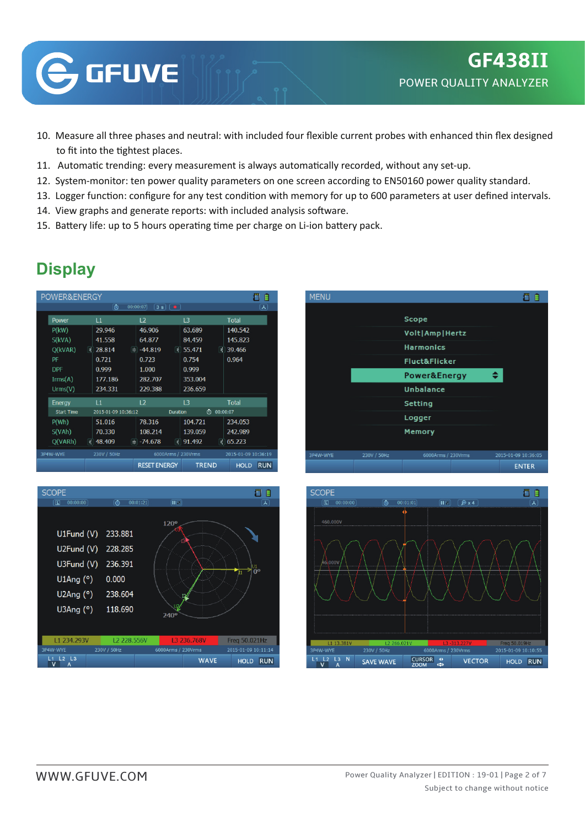

- 10. Measure all three phases and neutral: with included four flexible current probes with enhanced thin flex designed to fit into the tightest places.
- 11. Automatic trending: every measurement is always automatically recorded, without any set-up.
- 12. System-monitor: ten power quality parameters on one screen according to EN50160 power quality standard.
- 13. Logger function: configure for any test condition with memory for up to 600 parameters at user defined intervals.
- 14. View graphs and generate reports: with included analysis software.
- 15. Battery life: up to 5 hours operating time per charge on Li-ion battery pack.

|  | POWER&ENERGY      |    |                     |       |                     |                 |                    |               |                     | E          |
|--|-------------------|----|---------------------|-------|---------------------|-----------------|--------------------|---------------|---------------------|------------|
|  |                   |    | 0                   |       | 00:00:07            | $3s$ $\theta$   |                    |               |                     | ᄉ          |
|  | Power             |    | L1                  |       | L <sub>2</sub>      |                 | L <sub>3</sub>     |               | <b>Total</b>        |            |
|  | $P$ (kW)          |    | 29.946              |       | 46.906              |                 | 63.689             |               | 140.542             |            |
|  | S(kVA)            | l₹ | 41.558              | Ħ     | 64.877              |                 | 84.459             |               | 145.823             |            |
|  | $Q$ (kVAR)        |    | 28.814              |       | $-44.819$           | ₹               | 55.471             | ₹             | 39.466              |            |
|  | PF                |    | 0.721               | 0.723 |                     | 0.754           |                    | 0.964         |                     |            |
|  | <b>DPF</b>        |    | 0.999               |       | 1.000               |                 | 0.999              |               |                     |            |
|  | $\text{Irms}(A)$  |    | 177.186             |       | 282.707             |                 | 353.004            |               |                     |            |
|  | Urms(V)           |    | 234.331             |       | 229.388             |                 | 236.659            |               |                     |            |
|  | <b>Energy</b>     |    | $\mathsf{L}1$       |       | L <sub>2</sub>      |                 | L <sub>3</sub>     |               | <b>Total</b>        |            |
|  | <b>Start Time</b> |    | 2015-01-09 10:36:12 |       |                     | <b>Duration</b> |                    | 00:00:07<br>⊙ |                     |            |
|  | P(Wh)             |    | 51.016              |       | 78.316              |                 | 104.721            |               | 234.053             |            |
|  | S(VAh)            |    | 70.330              |       | 108.214             |                 | 139.059            |               | 242.989             |            |
|  | Q(VARh)           | ₹  | 48.409              |       | $= -74.678$         | ₹               | 91.492             | ₹             | 65.223              |            |
|  | 3P4W-WYE          |    | 230V / 50Hz         |       |                     |                 | 6000Arms / 230Vrms |               | 2015-01-09 10:36:19 |            |
|  |                   |    |                     |       | <b>RESET ENERGY</b> |                 | <b>TREND</b>       |               | <b>HOLD</b>         | <b>RUN</b> |







# **Display**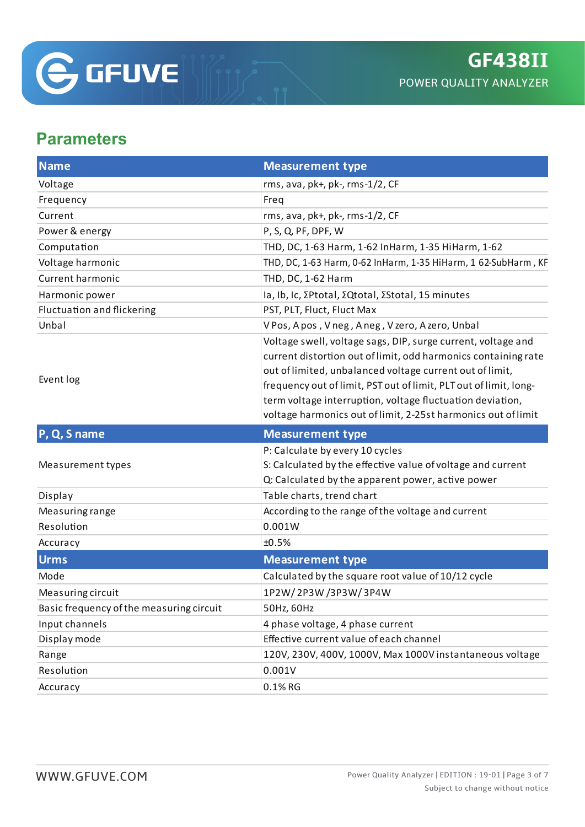

### **Parameters**

| <b>Name</b>                              | <b>Measurement type</b>                                                                                                                                                                                                                                                                                                                                                                       |  |  |  |  |
|------------------------------------------|-----------------------------------------------------------------------------------------------------------------------------------------------------------------------------------------------------------------------------------------------------------------------------------------------------------------------------------------------------------------------------------------------|--|--|--|--|
| Voltage                                  | rms, ava, pk+, pk-, rms-1/2, CF                                                                                                                                                                                                                                                                                                                                                               |  |  |  |  |
| Frequency                                | Freq                                                                                                                                                                                                                                                                                                                                                                                          |  |  |  |  |
| Current                                  | rms, ava, pk+, pk-, rms-1/2, CF                                                                                                                                                                                                                                                                                                                                                               |  |  |  |  |
| Power & energy                           | P, S, Q, PF, DPF, W                                                                                                                                                                                                                                                                                                                                                                           |  |  |  |  |
| Computation                              | THD, DC, 1-63 Harm, 1-62 InHarm, 1-35 HiHarm, 1-62                                                                                                                                                                                                                                                                                                                                            |  |  |  |  |
| Voltage harmonic                         | THD, DC, 1-63 Harm, 0-62 InHarm, 1-35 HiHarm, 1 62-SubHarm, KF                                                                                                                                                                                                                                                                                                                                |  |  |  |  |
| <b>Current harmonic</b>                  | THD, DC, 1-62 Harm                                                                                                                                                                                                                                                                                                                                                                            |  |  |  |  |
| Harmonic power                           | Ia, Ib, Ic, ΣPtotal, ΣQtotal, ΣStotal, 15 minutes                                                                                                                                                                                                                                                                                                                                             |  |  |  |  |
| <b>Fluctuation and flickering</b>        | PST, PLT, Fluct, Fluct Max                                                                                                                                                                                                                                                                                                                                                                    |  |  |  |  |
| Unbal                                    | V Pos, A pos, V neg, A neg, V zero, A zero, Unbal                                                                                                                                                                                                                                                                                                                                             |  |  |  |  |
| Event log                                | Voltage swell, voltage sags, DIP, surge current, voltage and<br>current distortion out of limit, odd harmonics containing rate<br>out of limited, unbalanced voltage current out of limit,<br>frequency out of limit, PST out of limit, PLT out of limit, long-<br>term voltage interruption, voltage fluctuation deviation,<br>voltage harmonics out of limit, 2-25st harmonics out of limit |  |  |  |  |
|                                          |                                                                                                                                                                                                                                                                                                                                                                                               |  |  |  |  |
| P, Q, S name                             | <b>Measurement type</b>                                                                                                                                                                                                                                                                                                                                                                       |  |  |  |  |
| Measurement types                        | P: Calculate by every 10 cycles<br>S: Calculated by the effective value of voltage and current                                                                                                                                                                                                                                                                                                |  |  |  |  |
| Display                                  | Q: Calculated by the apparent power, active power<br>Table charts, trend chart                                                                                                                                                                                                                                                                                                                |  |  |  |  |
| Measuring range                          | According to the range of the voltage and current                                                                                                                                                                                                                                                                                                                                             |  |  |  |  |
| Resolution                               | 0.001W                                                                                                                                                                                                                                                                                                                                                                                        |  |  |  |  |
| Accuracy                                 | ±0.5%                                                                                                                                                                                                                                                                                                                                                                                         |  |  |  |  |
| <b>Urms</b>                              | <b>Measurement type</b>                                                                                                                                                                                                                                                                                                                                                                       |  |  |  |  |
| Mode                                     | Calculated by the square root value of 10/12 cycle                                                                                                                                                                                                                                                                                                                                            |  |  |  |  |
| Measuring circuit                        | 1P2W/2P3W/3P3W/3P4W                                                                                                                                                                                                                                                                                                                                                                           |  |  |  |  |
| Basic frequency of the measuring circuit | 50Hz, 60Hz                                                                                                                                                                                                                                                                                                                                                                                    |  |  |  |  |
| Input channels                           | 4 phase voltage, 4 phase current                                                                                                                                                                                                                                                                                                                                                              |  |  |  |  |
| Display mode                             | Effective current value of each channel                                                                                                                                                                                                                                                                                                                                                       |  |  |  |  |
| Range                                    | 120V, 230V, 400V, 1000V, Max 1000V instantaneous voltage                                                                                                                                                                                                                                                                                                                                      |  |  |  |  |
| Resolution                               | 0.001V                                                                                                                                                                                                                                                                                                                                                                                        |  |  |  |  |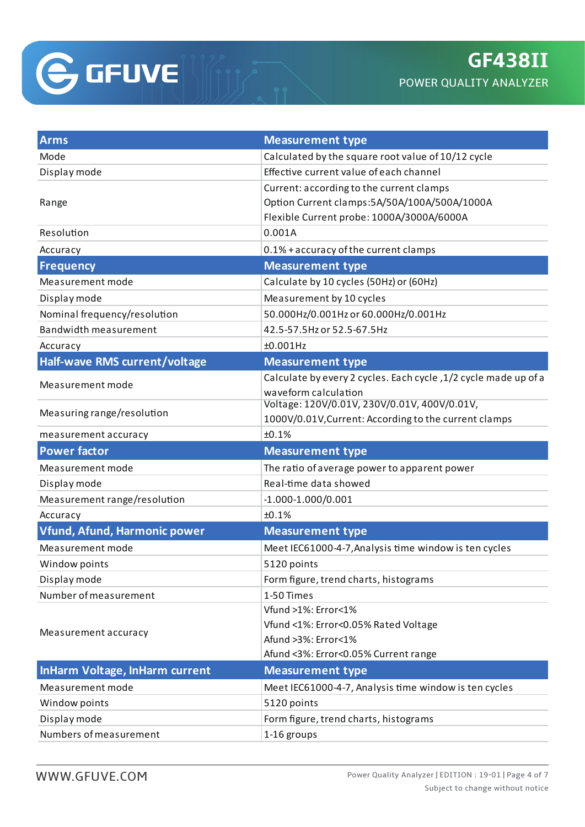

| <b>Arms</b>                           | <b>Measurement type</b>                                         |  |  |  |  |
|---------------------------------------|-----------------------------------------------------------------|--|--|--|--|
| Mode                                  | Calculated by the square root value of 10/12 cycle              |  |  |  |  |
| Display mode                          | Effective current value of each channel                         |  |  |  |  |
|                                       | Current: according to the current clamps                        |  |  |  |  |
| Range                                 | Option Current clamps: 5A/50A/100A/500A/1000A                   |  |  |  |  |
|                                       | Flexible Current probe: 1000A/3000A/6000A                       |  |  |  |  |
| Resolution                            | 0.001A                                                          |  |  |  |  |
| Accuracy                              | 0.1% + accuracy of the current clamps                           |  |  |  |  |
| <b>Frequency</b>                      | <b>Measurement type</b>                                         |  |  |  |  |
| Measurement mode                      | Calculate by 10 cycles (50Hz) or (60Hz)                         |  |  |  |  |
| Display mode                          | Measurement by 10 cycles                                        |  |  |  |  |
| Nominal frequency/resolution          | 50.000Hz/0.001Hz or 60.000Hz/0.001Hz                            |  |  |  |  |
| <b>Bandwidth measurement</b>          | 42.5-57.5Hz or 52.5-67.5Hz                                      |  |  |  |  |
| Accuracy                              | $±0.001$ Hz                                                     |  |  |  |  |
| Half-wave RMS current/voltage         | <b>Measurement type</b>                                         |  |  |  |  |
| Measurement mode                      | Calculate by every 2 cycles. Each cycle, 1/2 cycle made up of a |  |  |  |  |
|                                       | waveform calculation                                            |  |  |  |  |
| Measuring range/resolution            | Voltage: 120V/0.01V, 230V/0.01V, 400V/0.01V,                    |  |  |  |  |
|                                       | 1000V/0.01V, Current: According to the current clamps           |  |  |  |  |
| measurement accuracy                  | ±0.1%                                                           |  |  |  |  |
| <b>Power factor</b>                   | <b>Measurement type</b>                                         |  |  |  |  |
| Measurement mode                      | The ratio of average power to apparent power                    |  |  |  |  |
| Display mode                          | Real-time data showed                                           |  |  |  |  |
| Measurement range/resolution          | $-1.000 - 1.000 / 0.001$                                        |  |  |  |  |
| Accuracy                              | ±0.1%                                                           |  |  |  |  |
| Vfund, Afund, Harmonic power          | <b>Measurement type</b>                                         |  |  |  |  |
| Measurement mode                      | Meet IEC61000-4-7, Analysis time window is ten cycles           |  |  |  |  |
| Window points                         | 5120 points                                                     |  |  |  |  |
| Display mode                          | Form figure, trend charts, histograms                           |  |  |  |  |
| Number of measurement                 | 1-50 Times                                                      |  |  |  |  |
|                                       | Vfund >1%: Error<1%                                             |  |  |  |  |
| Measurement accuracy                  | Vfund <1%: Error<0.05% Rated Voltage                            |  |  |  |  |
|                                       | Afund >3%: Error<1%                                             |  |  |  |  |
|                                       | Afund <3%: Error<0.05% Current range                            |  |  |  |  |
| <b>InHarm Voltage, InHarm current</b> | <b>Measurement type</b>                                         |  |  |  |  |
| Measurement mode                      | Meet IEC61000-4-7, Analysis time window is ten cycles           |  |  |  |  |
| Window points                         | 5120 points                                                     |  |  |  |  |
| Display mode                          | Form figure, trend charts, histograms                           |  |  |  |  |
| Numbers of measurement                | 1-16 groups                                                     |  |  |  |  |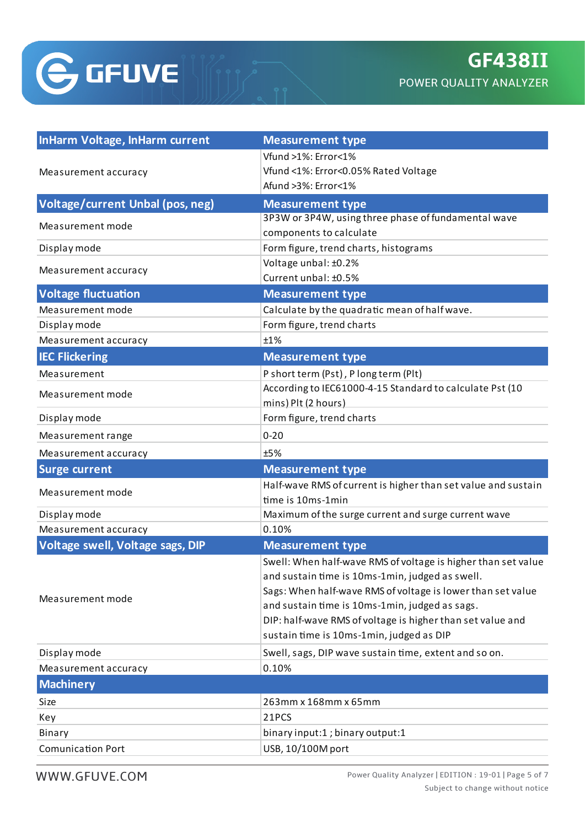

| <b>InHarm Voltage, InHarm current</b> | <b>Measurement type</b>                                       |  |  |  |  |
|---------------------------------------|---------------------------------------------------------------|--|--|--|--|
|                                       | Vfund >1%: Error<1%                                           |  |  |  |  |
| Measurement accuracy                  | Vfund <1%: Error<0.05% Rated Voltage                          |  |  |  |  |
|                                       | Afund >3%: Error<1%                                           |  |  |  |  |
| Voltage/current Unbal (pos, neg)      | <b>Measurement type</b>                                       |  |  |  |  |
| Measurement mode                      | 3P3W or 3P4W, using three phase of fundamental wave           |  |  |  |  |
|                                       | components to calculate                                       |  |  |  |  |
| Display mode                          | Form figure, trend charts, histograms                         |  |  |  |  |
| Measurement accuracy                  | Voltage unbal: ±0.2%                                          |  |  |  |  |
|                                       | Current unbal: ±0.5%                                          |  |  |  |  |
| <b>Voltage fluctuation</b>            | <b>Measurement type</b>                                       |  |  |  |  |
| Measurement mode                      | Calculate by the quadratic mean of half wave.                 |  |  |  |  |
| Display mode                          | Form figure, trend charts                                     |  |  |  |  |
| Measurement accuracy                  | ±1%                                                           |  |  |  |  |
| <b>IEC Flickering</b>                 | <b>Measurement type</b>                                       |  |  |  |  |
| Measurement                           | P short term (Pst), P long term (Plt)                         |  |  |  |  |
| Measurement mode                      | According to IEC61000-4-15 Standard to calculate Pst (10      |  |  |  |  |
|                                       | mins) Plt (2 hours)                                           |  |  |  |  |
| Display mode                          | Form figure, trend charts                                     |  |  |  |  |
| Measurement range                     | $0 - 20$                                                      |  |  |  |  |
| Measurement accuracy                  | ±5%                                                           |  |  |  |  |
| <b>Surge current</b>                  | <b>Measurement type</b>                                       |  |  |  |  |
| Measurement mode                      | Half-wave RMS of current is higher than set value and sustain |  |  |  |  |
|                                       | time is 10ms-1min                                             |  |  |  |  |
| Display mode                          | Maximum of the surge current and surge current wave           |  |  |  |  |
| Measurement accuracy                  | 0.10%                                                         |  |  |  |  |
| Voltage swell, Voltage sags, DIP      | <b>Measurement type</b>                                       |  |  |  |  |
|                                       | Swell: When half-wave RMS of voltage is higher than set value |  |  |  |  |
|                                       | and sustain time is 10ms-1min, judged as swell.               |  |  |  |  |
| Measurement mode                      | Sags: When half-wave RMS of voltage is lower than set value   |  |  |  |  |
|                                       | and sustain time is 10ms-1min, judged as sags.                |  |  |  |  |
|                                       | DIP: half-wave RMS of voltage is higher than set value and    |  |  |  |  |
|                                       | sustain time is 10ms-1min, judged as DIP                      |  |  |  |  |
| Display mode                          | Swell, sags, DIP wave sustain time, extent and so on.         |  |  |  |  |
| Measurement accuracy                  | 0.10%                                                         |  |  |  |  |
| <b>Machinery</b>                      |                                                               |  |  |  |  |
| Size                                  | 263mm x 168mm x 65mm                                          |  |  |  |  |
| Key                                   | 21PCS                                                         |  |  |  |  |
| Binary                                | binary input:1; binary output:1                               |  |  |  |  |
| <b>Comunication Port</b>              | USB, 10/100M port                                             |  |  |  |  |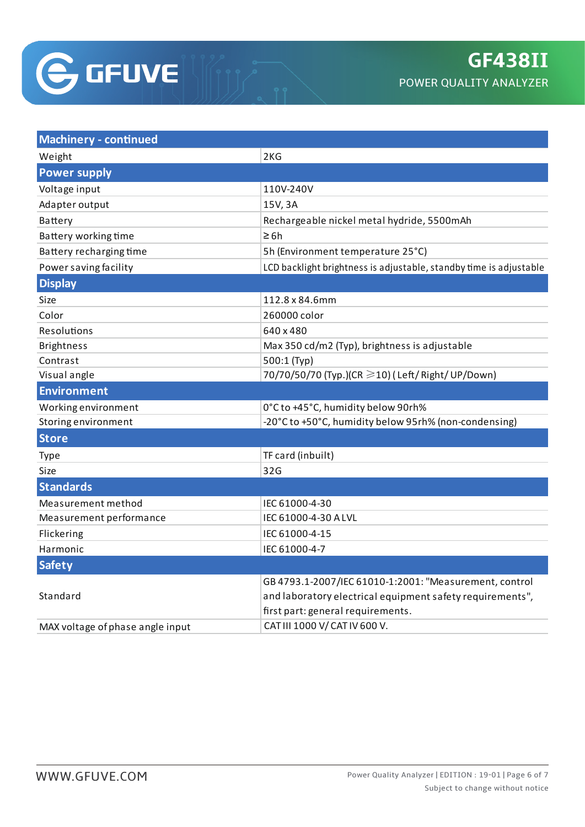

| <b>Machinery - continued</b>     |                                                                    |  |  |  |  |
|----------------------------------|--------------------------------------------------------------------|--|--|--|--|
| Weight                           | 2KG                                                                |  |  |  |  |
| <b>Power supply</b>              |                                                                    |  |  |  |  |
| Voltage input                    | 110V-240V                                                          |  |  |  |  |
| Adapter output                   | 15V, 3A                                                            |  |  |  |  |
| <b>Battery</b>                   | Rechargeable nickel metal hydride, 5500mAh                         |  |  |  |  |
| Battery working time             | $\geq 6h$                                                          |  |  |  |  |
| Battery recharging time          | 5h (Environment temperature 25°C)                                  |  |  |  |  |
| Power saving facility            | LCD backlight brightness is adjustable, standby time is adjustable |  |  |  |  |
| <b>Display</b>                   |                                                                    |  |  |  |  |
| Size                             | 112.8 x 84.6mm                                                     |  |  |  |  |
| Color                            | 260000 color                                                       |  |  |  |  |
| Resolutions                      | 640 x 480                                                          |  |  |  |  |
| <b>Brightness</b>                | Max 350 cd/m2 (Typ), brightness is adjustable                      |  |  |  |  |
| Contrast                         | 500:1 (Typ)                                                        |  |  |  |  |
| Visual angle                     | 70/70/50/70 (Typ.)(CR ≥10) (Left/ Right/ UP/Down)                  |  |  |  |  |
| <b>Environment</b>               |                                                                    |  |  |  |  |
| Working environment              | 0°C to +45°C, humidity below 90rh%                                 |  |  |  |  |
| Storing environment              | -20°C to +50°C, humidity below 95rh% (non-condensing)              |  |  |  |  |
| <b>Store</b>                     |                                                                    |  |  |  |  |
| <b>Type</b>                      | TF card (inbuilt)                                                  |  |  |  |  |
| Size                             | 32G                                                                |  |  |  |  |
| <b>Standards</b>                 |                                                                    |  |  |  |  |
| Measurement method               | IEC 61000-4-30                                                     |  |  |  |  |
| Measurement performance          | IEC 61000-4-30 A LVL                                               |  |  |  |  |
| Flickering                       | IEC 61000-4-15                                                     |  |  |  |  |
| Harmonic                         | IEC 61000-4-7                                                      |  |  |  |  |
| <b>Safety</b>                    |                                                                    |  |  |  |  |
|                                  | GB 4793.1-2007/IEC 61010-1:2001: "Measurement, control             |  |  |  |  |
| Standard                         | and laboratory electrical equipment safety requirements",          |  |  |  |  |
|                                  | first part: general requirements.                                  |  |  |  |  |
| MAX voltage of phase angle input | CAT III 1000 V/ CAT IV 600 V.                                      |  |  |  |  |